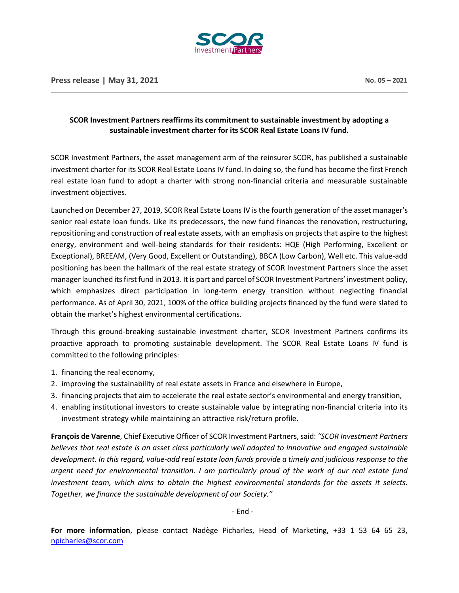

## **SCOR Investment Partners reaffirms its commitment to sustainable investment by adopting a sustainable investment charter for its SCOR Real Estate Loans IV fund.**

SCOR Investment Partners, the asset management arm of the reinsurer SCOR, has published a sustainable investment charter for its SCOR Real Estate Loans IV fund. In doing so, the fund has become the first French real estate loan fund to adopt a charter with strong non-financial criteria and measurable sustainable investment objectives.

Launched on December 27, 2019, SCOR Real Estate Loans IV is the fourth generation of the asset manager's senior real estate loan funds. Like its predecessors, the new fund finances the renovation, restructuring, repositioning and construction of real estate assets, with an emphasis on projects that aspire to the highest energy, environment and well-being standards for their residents: HQE (High Performing, Excellent or Exceptional), BREEAM, (Very Good, Excellent or Outstanding), BBCA (Low Carbon), Well etc. This value-add positioning has been the hallmark of the real estate strategy of SCOR Investment Partners since the asset manager launched its first fund in 2013. It is part and parcel of SCOR Investment Partners' investment policy, which emphasizes direct participation in long-term energy transition without neglecting financial performance. As of April 30, 2021, 100% of the office building projects financed by the fund were slated to obtain the market's highest environmental certifications.

Through this ground-breaking sustainable investment charter, SCOR Investment Partners confirms its proactive approach to promoting sustainable development. The SCOR Real Estate Loans IV fund is committed to the following principles:

- 1. financing the real economy,
- 2. improving the sustainability of real estate assets in France and elsewhere in Europe,
- 3. financing projects that aim to accelerate the real estate sector's environmental and energy transition,
- 4. enabling institutional investors to create sustainable value by integrating non-financial criteria into its investment strategy while maintaining an attractive risk/return profile.

**François de Varenne**, Chief Executive Officer of SCOR Investment Partners, said: *"SCOR Investment Partners believes that real estate is an asset class particularly well adapted to innovative and engaged sustainable development. In this regard, value-add real estate loan funds provide a timely and judicious response to the urgent need for environmental transition. I am particularly proud of the work of our real estate fund investment team, which aims to obtain the highest environmental standards for the assets it selects. Together, we finance the sustainable development of our Society."*

- End -

**For more information**, please contact Nadège Picharles, Head of Marketing, +33 1 53 64 65 23, [npicharles@scor.com](mailto:npicharles@scor.com)